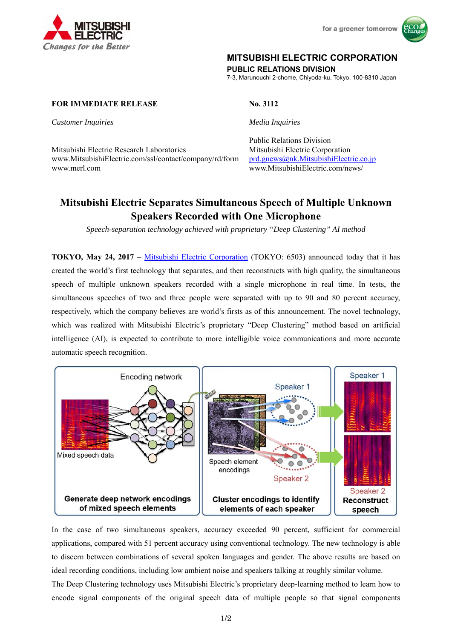



### **MITSUBISHI ELECTRIC CORPORATION**

**PUBLIC RELATIONS DIVISION** 

7-3, Marunouchi 2-chome, Chiyoda-ku, Tokyo, 100-8310 Japan

### **FOR IMMEDIATE RELEASE No. 3112**

*Customer Inquiries Media Inquiries*

Mitsubishi Electric Research Laboratories Mitsubishi Electric Corporation www.MitsubishiElectric.com/ssl/contact/company/rd/form prd.gnews@nk.MitsubishiElectric.co.jp www.merl.com www.MitsubishiElectric.com/news/

# Public Relations Division

## **Mitsubishi Electric Separates Simultaneous Speech of Multiple Unknown Speakers Recorded with One Microphone**

*Speech-separation technology achieved with proprietary "Deep Clustering" AI method* 

**TOKYO, May 24, 2017** – Mitsubishi Electric Corporation (TOKYO: 6503) announced today that it has created the world's first technology that separates, and then reconstructs with high quality, the simultaneous speech of multiple unknown speakers recorded with a single microphone in real time. In tests, the simultaneous speeches of two and three people were separated with up to 90 and 80 percent accuracy, respectively, which the company believes are world's firsts as of this announcement. The novel technology, which was realized with Mitsubishi Electric's proprietary "Deep Clustering" method based on artificial intelligence (AI), is expected to contribute to more intelligible voice communications and more accurate automatic speech recognition.



In the case of two simultaneous speakers, accuracy exceeded 90 percent, sufficient for commercial applications, compared with 51 percent accuracy using conventional technology. The new technology is able to discern between combinations of several spoken languages and gender. The above results are based on ideal recording conditions, including low ambient noise and speakers talking at roughly similar volume.

The Deep Clustering technology uses Mitsubishi Electric's proprietary deep-learning method to learn how to encode signal components of the original speech data of multiple people so that signal components